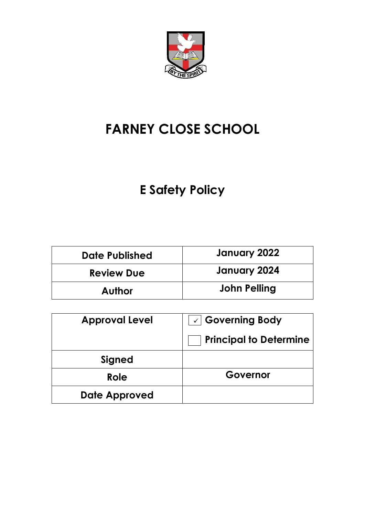

# **FARNEY CLOSE SCHOOL**

# **E Safety Policy**

| <b>Date Published</b> | January 2022 |
|-----------------------|--------------|
| <b>Review Due</b>     | January 2024 |
| <b>Author</b>         | John Pelling |

| <b>Approval Level</b> | $\sqrt{2}$ Governing Body     |
|-----------------------|-------------------------------|
|                       | <b>Principal to Determine</b> |
| Signed                |                               |
| Role                  | Governor                      |
| <b>Date Approved</b>  |                               |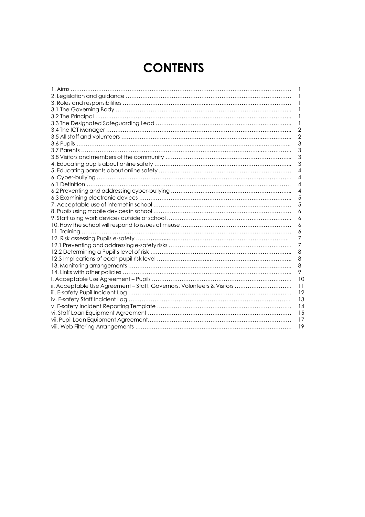# **CONTENTS**

|                                                                        | $\mathbf{I}$    |
|------------------------------------------------------------------------|-----------------|
|                                                                        |                 |
|                                                                        |                 |
|                                                                        |                 |
|                                                                        | 1               |
|                                                                        | $\mathbf{2}$    |
|                                                                        | 2               |
|                                                                        | 3               |
|                                                                        | 3               |
|                                                                        | 3               |
|                                                                        | 3               |
|                                                                        | 4               |
|                                                                        | 4               |
|                                                                        | 4               |
|                                                                        | $\overline{4}$  |
|                                                                        | 5               |
|                                                                        | 5               |
|                                                                        | 6               |
|                                                                        | 6               |
|                                                                        | 6               |
|                                                                        | 6               |
|                                                                        | 7               |
|                                                                        | $\overline{7}$  |
|                                                                        | 8               |
|                                                                        | 8               |
|                                                                        | 8               |
|                                                                        | 9               |
|                                                                        | 10              |
| ii. Acceptable Use Agreement - Staff, Governors, Volunteers & Visitors | $\overline{11}$ |
|                                                                        | 12              |
|                                                                        | 13              |
|                                                                        | 14              |
|                                                                        | 15              |
|                                                                        | 17              |
|                                                                        | 19              |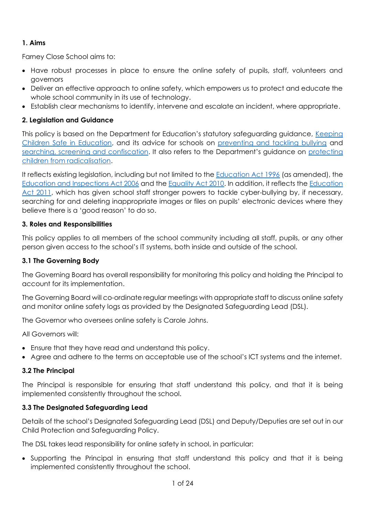# **1. Aims**

Farney Close School aims to:

- Have robust processes in place to ensure the online safety of pupils, staff, volunteers and governors
- Deliver an effective approach to online safety, which empowers us to protect and educate the whole school community in its use of technology.
- Establish clear mechanisms to identify, intervene and escalate an incident, where appropriate.

# **2. Legislation and Guidance**

This policy is based on the Department for Education's statutory safeguarding guidance, [Keeping](https://www.gov.uk/government/publications/keeping-children-safe-in-education--2)  [Children Safe in Education,](https://www.gov.uk/government/publications/keeping-children-safe-in-education--2) and its advice for schools on [preventing and tackling bullying](https://www.gov.uk/government/publications/preventing-and-tackling-bullying) and [searching, screening and confiscation](https://www.gov.uk/government/publications/searching-screening-and-confiscation). It also refers to the Department's guidance on [protecting](https://www.gov.uk/government/publications/protecting-children-from-radicalisation-the-prevent-duty)  [children from radicalisation.](https://www.gov.uk/government/publications/protecting-children-from-radicalisation-the-prevent-duty)

It reflects existing legislation, including but not limited to the **Education Act 1996** (as amended), the [Education and Inspections Act 2006](https://www.legislation.gov.uk/ukpga/2006/40/contents) and the [Equality Act 2010.](https://www.legislation.gov.uk/ukpga/2010/15/contents) In addition, it reflects the [Education](http://www.legislation.gov.uk/ukpga/2011/21/contents/enacted)  [Act 2011,](http://www.legislation.gov.uk/ukpga/2011/21/contents/enacted) which has given school staff stronger powers to tackle cyber-bullying by, if necessary, searching for and deleting inappropriate images or files on pupils' electronic devices where they believe there is a 'good reason' to do so.

### **3. Roles and Responsibilities**

This policy applies to all members of the school community including all staff, pupils, or any other person given access to the school's IT systems, both inside and outside of the school.

## **3.1 The Governing Body**

The Governing Board has overall responsibility for monitoring this policy and holding the Principal to account for its implementation.

The Governing Board will co-ordinate regular meetings with appropriate staff to discuss online safety and monitor online safety logs as provided by the Designated Safeguarding Lead (DSL).

The Governor who oversees online safety is Carole Johns.

All Governors will:

- Ensure that they have read and understand this policy.
- Agree and adhere to the terms on acceptable use of the school's ICT systems and the internet.

# **3.2 The Principal**

The Principal is responsible for ensuring that staff understand this policy, and that it is being implemented consistently throughout the school.

# **3.3 The Designated Safeguarding Lead**

Details of the school's Designated Safeguarding Lead (DSL) and Deputy/Deputies are set out in our Child Protection and Safeguarding Policy.

The DSL takes lead responsibility for online safety in school, in particular:

• Supporting the Principal in ensuring that staff understand this policy and that it is being implemented consistently throughout the school.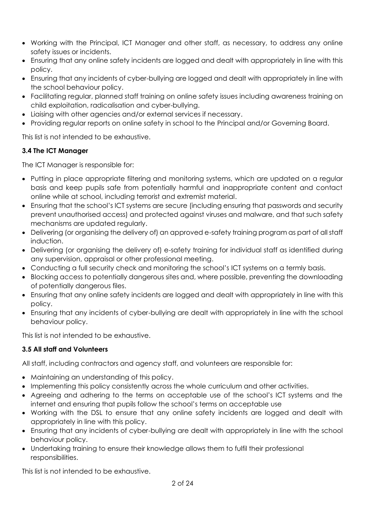- Working with the Principal, ICT Manager and other staff, as necessary, to address any online safety issues or incidents.
- Ensuring that any online safety incidents are logged and dealt with appropriately in line with this policy.
- Ensuring that any incidents of cyber-bullying are logged and dealt with appropriately in line with the school behaviour policy.
- Facilitating regular, planned staff training on online safety issues including awareness training on child exploitation, radicalisation and cyber-bullying.
- Liaising with other agencies and/or external services if necessary.
- Providing regular reports on online safety in school to the Principal and/or Governing Board.

This list is not intended to be exhaustive.

# **3.4 The ICT Manager**

The ICT Manager is responsible for:

- Putting in place appropriate filtering and monitoring systems, which are updated on a regular basis and keep pupils safe from potentially harmful and inappropriate content and contact online while at school, including terrorist and extremist material.
- Ensuring that the school's ICT systems are secure (including ensuring that passwords and security prevent unauthorised access) and protected against viruses and malware, and that such safety mechanisms are updated regularly.
- Delivering (or organising the delivery of) an approved e-safety training program as part of all staff induction.
- Delivering (or organising the delivery of) e-safety training for individual staff as identified during any supervision, appraisal or other professional meeting.
- Conducting a full security check and monitoring the school's ICT systems on a termly basis.
- Blocking access to potentially dangerous sites and, where possible, preventing the downloading of potentially dangerous files.
- Ensuring that any online safety incidents are logged and dealt with appropriately in line with this policy.
- Ensuring that any incidents of cyber-bullying are dealt with appropriately in line with the school behaviour policy.

This list is not intended to be exhaustive.

# **3.5 All staff and Volunteers**

All staff, including contractors and agency staff, and volunteers are responsible for:

- Maintaining an understanding of this policy.
- Implementing this policy consistently across the whole curriculum and other activities.
- Agreeing and adhering to the terms on acceptable use of the school's ICT systems and the internet and ensuring that pupils follow the school's terms on acceptable use
- Working with the DSL to ensure that any online safety incidents are logged and dealt with appropriately in line with this policy.
- Ensuring that any incidents of cyber-bullying are dealt with appropriately in line with the school behaviour policy.
- Undertaking training to ensure their knowledge allows them to fulfil their professional responsibilities.

This list is not intended to be exhaustive.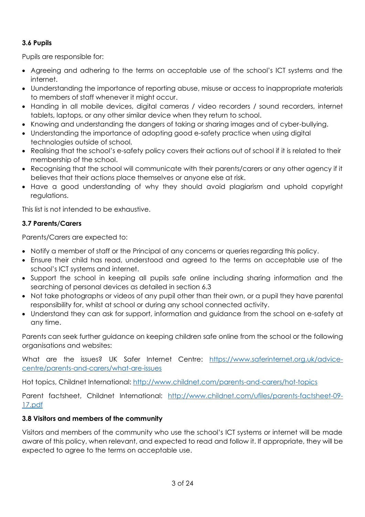# **3.6 Pupils**

Pupils are responsible for:

- Agreeing and adhering to the terms on acceptable use of the school's ICT systems and the internet.
- Uunderstanding the importance of reporting abuse, misuse or access to inappropriate materials to members of staff whenever it might occur.
- Handing in all mobile devices, digital cameras / video recorders / sound recorders, internet tablets, laptops, or any other similar device when they return to school.
- Knowing and understanding the dangers of taking or sharing images and of cyber-bullying.
- Understanding the importance of adopting good e-safety practice when using digital technologies outside of school.
- Realising that the school's e-safety policy covers their actions out of school if it is related to their membership of the school.
- Recognising that the school will communicate with their parents/carers or any other agency if it believes that their actions place themselves or anyone else at risk.
- Have a good understanding of why they should avoid plagiarism and uphold copyright regulations.

This list is not intended to be exhaustive.

# **3.7 Parents/Carers**

Parents/Carers are expected to:

- Notify a member of staff or the Principal of any concerns or queries regarding this policy.
- Ensure their child has read, understood and agreed to the terms on acceptable use of the school's ICT systems and internet.
- Support the school in keeping all pupils safe online including sharing information and the searching of personal devices as detailed in section 6.3
- Not take photographs or videos of any pupil other than their own, or a pupil they have parental responsibility for, whilst at school or during any school connected activity.
- Understand they can ask for support, information and guidance from the school on e-safety at any time.

Parents can seek further guidance on keeping children safe online from the school or the following organisations and websites:

What are the issues? UK Safer Internet Centre: [https://www.saferinternet.org.uk/advice](https://www.saferinternet.org.uk/advice-centre/parents-and-carers/what-are-issues)[centre/parents-and-carers/what-are-issues](https://www.saferinternet.org.uk/advice-centre/parents-and-carers/what-are-issues)

Hot topics, Childnet International:<http://www.childnet.com/parents-and-carers/hot-topics>

Parent factsheet, Childnet International: [http://www.childnet.com/ufiles/parents-factsheet-09-](http://www.childnet.com/ufiles/parents-factsheet-09-17.pdf) [17.pdf](http://www.childnet.com/ufiles/parents-factsheet-09-17.pdf)

# **3.8 Visitors and members of the community**

Visitors and members of the community who use the school's ICT systems or internet will be made aware of this policy, when relevant, and expected to read and follow it. If appropriate, they will be expected to agree to the terms on acceptable use.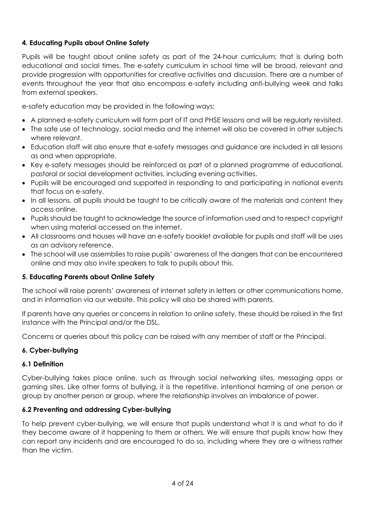# **4. Educating Pupils about Online Safety**

Pupils will be taught about online safety as part of the 24-hour curriculum; that is during both educational and social times. The e-safety curriculum in school time will be broad, relevant and provide progression with opportunities for creative activities and discussion. There are a number of events throughout the year that also encompass e-safety including anti-bullying week and talks from external speakers.

e-safety education may be provided in the following ways:

- A planned e-safety curriculum will form part of IT and PHSE lessons and will be regularly revisited.
- The safe use of technology, social media and the internet will also be covered in other subjects where relevant.
- Education staff will also ensure that e-safety messages and guidance are included in all lessons as and when appropriate.
- Key e-safety messages should be reinforced as part of a planned programme of educational, pastoral or social development activities, including evening activities.
- Pupils will be encouraged and supported in responding to and participating in national events that focus on e-safety.
- In all lessons, all pupils should be taught to be critically aware of the materials and content they access online.
- Pupils should be taught to acknowledge the source of information used and to respect copyright when using material accessed on the internet.
- All classrooms and houses will have an e-safety booklet available for pupils and staff will be uses as an advisory reference.
- The school will use assemblies to raise pupils' awareness of the dangers that can be encountered online and may also invite speakers to talk to pupils about this.

#### **5. Educating Parents about Online Safety**

The school will raise parents' awareness of internet safety in letters or other communications home, and in information via our website. This policy will also be shared with parents.

If parents have any queries or concerns in relation to online safety, these should be raised in the first instance with the Principal and/or the DSL.

Concerns or queries about this policy can be raised with any member of staff or the Principal.

#### **6. Cyber-bullying**

#### **6.1 Definition**

Cyber-bullying takes place online, such as through social networking sites, messaging apps or gaming sites. Like other forms of bullying, it is the repetitive, intentional harming of one person or group by another person or group, where the relationship involves an imbalance of power.

#### **6.2 Preventing and addressing Cyber-bullying**

To help prevent cyber-bullying, we will ensure that pupils understand what it is and what to do if they become aware of it happening to them or others. We will ensure that pupils know how they can report any incidents and are encouraged to do so, including where they are a witness rather than the victim.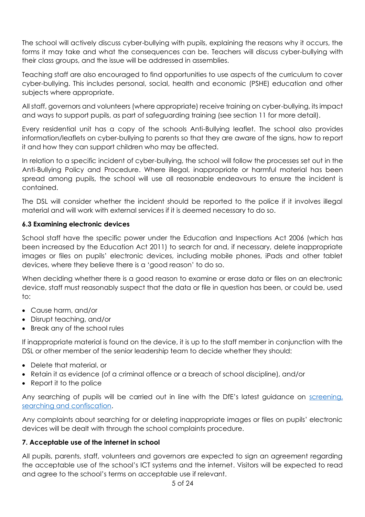The school will actively discuss cyber-bullying with pupils, explaining the reasons why it occurs, the forms it may take and what the consequences can be. Teachers will discuss cyber-bullying with their class groups, and the issue will be addressed in assemblies.

Teaching staff are also encouraged to find opportunities to use aspects of the curriculum to cover cyber-bullying. This includes personal, social, health and economic (PSHE) education and other subjects where appropriate.

All staff, governors and volunteers (where appropriate) receive training on cyber-bullying, its impact and ways to support pupils, as part of safeguarding training (see section 11 for more detail).

Every residential unit has a copy of the schools Anti-Bullying leaflet. The school also provides information/leaflets on cyber-bullying to parents so that they are aware of the signs, how to report it and how they can support children who may be affected.

In relation to a specific incident of cyber-bullying, the school will follow the processes set out in the Anti-Bullying Policy and Procedure. Where illegal, inappropriate or harmful material has been spread among pupils, the school will use all reasonable endeavours to ensure the incident is contained.

The DSL will consider whether the incident should be reported to the police if it involves illegal material and will work with external services if it is deemed necessary to do so.

### **6.3 Examining electronic devices**

School staff have the specific power under the Education and Inspections Act 2006 (which has been increased by the Education Act 2011) to search for and, if necessary, delete inappropriate images or files on pupils' electronic devices, including mobile phones, iPads and other tablet devices, where they believe there is a 'good reason' to do so.

When deciding whether there is a good reason to examine or erase data or files on an electronic device, staff must reasonably suspect that the data or file in question has been, or could be, used to:

- Cause harm, and/or
- Disrupt teaching, and/or
- Break any of the school rules

If inappropriate material is found on the device, it is up to the staff member in conjunction with the DSL or other member of the senior leadership team to decide whether they should:

- Delete that material, or
- Retain it as evidence (of a criminal offence or a breach of school discipline), and/or
- Report it to the police

Any searching of pupils will be carried out in line with the DfE's latest guidance on screening, [searching and confiscation.](https://www.gov.uk/government/publications/searching-screening-and-confiscation)

Any complaints about searching for or deleting inappropriate images or files on pupils' electronic devices will be dealt with through the school complaints procedure.

# **7. Acceptable use of the internet in school**

All pupils, parents, staff, volunteers and governors are expected to sign an agreement regarding the acceptable use of the school's ICT systems and the internet. Visitors will be expected to read and agree to the school's terms on acceptable use if relevant.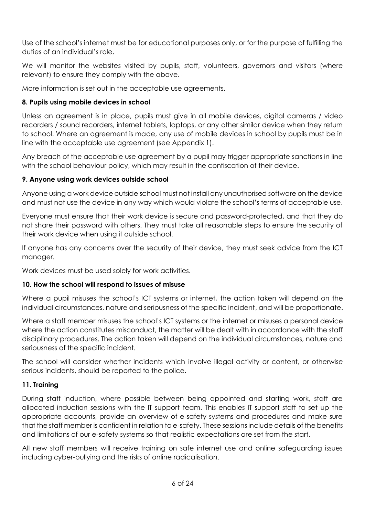Use of the school's internet must be for educational purposes only, or for the purpose of fulfilling the duties of an individual's role.

We will monitor the websites visited by pupils, staff, volunteers, governors and visitors (where relevant) to ensure they comply with the above.

More information is set out in the acceptable use agreements.

## **8. Pupils using mobile devices in school**

Unless an agreement is in place, pupils must give in all mobile devices, digital cameras / video recorders / sound recorders, internet tablets, laptops, or any other similar device when they return to school. Where an agreement is made, any use of mobile devices in school by pupils must be in line with the acceptable use agreement (see Appendix 1).

Any breach of the acceptable use agreement by a pupil may trigger appropriate sanctions in line with the school behaviour policy, which may result in the confiscation of their device.

### **9. Anyone using work devices outside school**

Anyone using a work device outside school must not install any unauthorised software on the device and must not use the device in any way which would violate the school's terms of acceptable use.

Everyone must ensure that their work device is secure and password-protected, and that they do not share their password with others. They must take all reasonable steps to ensure the security of their work device when using it outside school.

If anyone has any concerns over the security of their device, they must seek advice from the ICT manager.

Work devices must be used solely for work activities.

#### **10. How the school will respond to issues of misuse**

Where a pupil misuses the school's ICT systems or internet, the action taken will depend on the individual circumstances, nature and seriousness of the specific incident, and will be proportionate.

Where a staff member misuses the school's ICT systems or the internet or misuses a personal device where the action constitutes misconduct, the matter will be dealt with in accordance with the staff disciplinary procedures. The action taken will depend on the individual circumstances, nature and seriousness of the specific incident.

The school will consider whether incidents which involve illegal activity or content, or otherwise serious incidents, should be reported to the police.

#### **11. Training**

During staff induction, where possible between being appointed and starting work, staff are allocated induction sessions with the IT support team. This enables IT support staff to set up the appropriate accounts, provide an overview of e-safety systems and procedures and make sure that the staff member is confident in relation to e-safety. These sessionsinclude details of the benefits and limitations of our e-safety systems so that realistic expectations are set from the start.

All new staff members will receive training on safe internet use and online safeguarding issues including cyber-bullying and the risks of online radicalisation.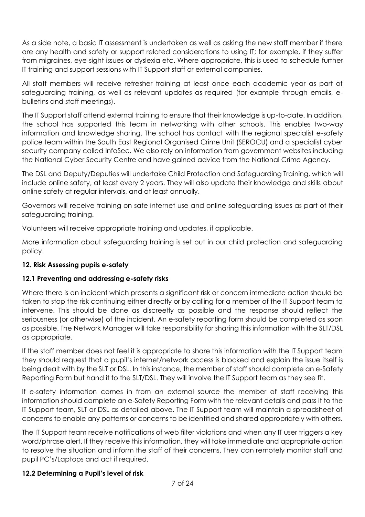As a side note, a basic IT assessment is undertaken as well as asking the new staff member if there are any health and safety or support related considerations to using IT; for example, if they suffer from migraines, eye-sight issues or dyslexia etc. Where appropriate, this is used to schedule further IT training and support sessions with IT Support staff or external companies.

All staff members will receive refresher training at least once each academic year as part of safeguarding training, as well as relevant updates as required (for example through emails, ebulletins and staff meetings).

The IT Support staff attend external training to ensure that their knowledge is up-to-date. In addition, the school has supported this team in networking with other schools. This enables two-way information and knowledge sharing. The school has contact with the regional specialist e-safety police team within the South East Regional Organised Crime Unit (SEROCU) and a specialist cyber security company called InfoSec. We also rely on information from government websites including the National Cyber Security Centre and have gained advice from the National Crime Agency.

The DSL and Deputy/Deputies will undertake Child Protection and Safeguarding Training, which will include online safety, at least every 2 years. They will also update their knowledge and skills about online safety at regular intervals, and at least annually.

Governors will receive training on safe internet use and online safeguarding issues as part of their safeguarding training.

Volunteers will receive appropriate training and updates, if applicable.

More information about safeguarding training is set out in our child protection and safeguarding policy.

# **12. Risk Assessing pupils e-safety**

#### **12.1 Preventing and addressing e-safety risks**

Where there is an incident which presents a significant risk or concern immediate action should be taken to stop the risk continuing either directly or by calling for a member of the IT Support team to intervene. This should be done as discreetly as possible and the response should reflect the seriousness (or otherwise) of the incident. An e-safety reporting form should be completed as soon as possible. The Network Manager will take responsibility for sharing this information with the SLT/DSL as appropriate.

If the staff member does not feel it is appropriate to share this information with the IT Support team they should request that a pupil's internet/network access is blocked and explain the issue itself is being dealt with by the SLT or DSL. In this instance, the member of staff should complete an e-Safety Reporting Form but hand it to the SLT/DSL. They will involve the IT Support team as they see fit.

If e-safety information comes in from an external source the member of staff receiving this information should complete an e-Safety Reporting Form with the relevant details and pass it to the IT Support team, SLT or DSL as detailed above. The IT Support team will maintain a spreadsheet of concerns to enable any patterns or concerns to be identified and shared appropriately with others.

The IT Support team receive notifications of web filter violations and when any IT user triggers a key word/phrase alert. If they receive this information, they will take immediate and appropriate action to resolve the situation and inform the staff of their concerns. They can remotely monitor staff and pupil PC's/Laptops and act if required.

#### **12.2 Determining a Pupil's level of risk**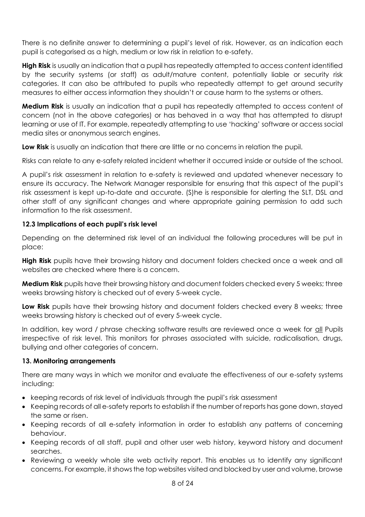There is no definite answer to determining a pupil's level of risk. However, as an indication each pupil is categorised as a high, medium or low risk in relation to e-safety.

**High Risk** is usually an indication that a pupil has repeatedly attempted to access content identified by the security systems (or staff) as adult/mature content, potentially liable or security risk categories. It can also be attributed to pupils who repeatedly attempt to get around security measures to either access information they shouldn't or cause harm to the systems or others.

**Medium Risk** is usually an indication that a pupil has repeatedly attempted to access content of concern (not in the above categories) or has behaved in a way that has attempted to disrupt learning or use of IT. For example, repeatedly attempting to use 'hacking' software or access social media sites or anonymous search engines.

**Low Risk** is usually an indication that there are little or no concerns in relation the pupil.

Risks can relate to any e-safety related incident whether it occurred inside or outside of the school.

A pupil's risk assessment in relation to e-safety is reviewed and updated whenever necessary to ensure its accuracy. The Network Manager responsible for ensuring that this aspect of the pupil's risk assessment is kept up-to-date and accurate. (S)he is responsible for alerting the SLT, DSL and other staff of any significant changes and where appropriate gaining permission to add such information to the risk assessment.

# **12.3 Implications of each pupil's risk level**

Depending on the determined risk level of an individual the following procedures will be put in place:

**High Risk** pupils have their browsing history and document folders checked once a week and all websites are checked where there is a concern.

**Medium Risk** pupils have their browsing history and document folders checked every 5 weeks; three weeks browsing history is checked out of every 5-week cycle.

**Low Risk** pupils have their browsing history and document folders checked every 8 weeks; three weeks browsing history is checked out of every 5-week cycle.

In addition, key word / phrase checking software results are reviewed once a week for all Pupils irrespective of risk level. This monitors for phrases associated with suicide, radicalisation, drugs, bullying and other categories of concern.

#### **13. Monitoring arrangements**

There are many ways in which we monitor and evaluate the effectiveness of our e-safety systems including:

- keeping records of risk level of individuals through the pupil's risk assessment
- Keeping records of all e-safety reports to establish if the number of reports has gone down, stayed the same or risen.
- Keeping records of all e-safety information in order to establish any patterns of concerning behaviour.
- Keeping records of all staff, pupil and other user web history, keyword history and document searches.
- Reviewing a weekly whole site web activity report. This enables us to identify any significant concerns. For example, it shows the top websites visited and blocked by user and volume, browse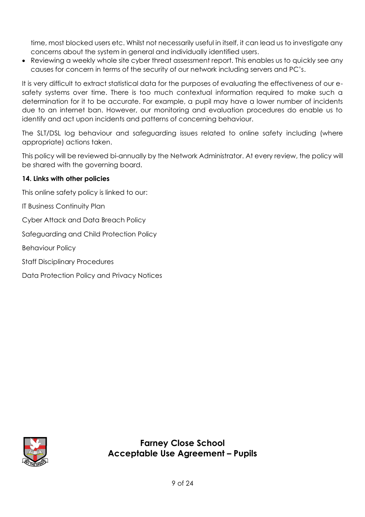time, most blocked users etc. Whilst not necessarily useful in itself, it can lead us to investigate any concerns about the system in general and individually identified users.

• Reviewing a weekly whole site cyber threat assessment report. This enables us to quickly see any causes for concern in terms of the security of our network including servers and PC's.

It is very difficult to extract statistical data for the purposes of evaluating the effectiveness of our esafety systems over time. There is too much contextual information required to make such a determination for it to be accurate. For example, a pupil may have a lower number of incidents due to an internet ban. However, our monitoring and evaluation procedures do enable us to identify and act upon incidents and patterns of concerning behaviour.

The SLT/DSL log behaviour and safeguarding issues related to online safety including (where appropriate) actions taken.

This policy will be reviewed bi-annually by the Network Administrator. At every review, the policy will be shared with the governing board.

### **14. Links with other policies**

This online safety policy is linked to our:

IT Business Continuity Plan

Cyber Attack and Data Breach Policy

Safeguarding and Child Protection Policy

Behaviour Policy

Staff Disciplinary Procedures

Data Protection Policy and Privacy Notices

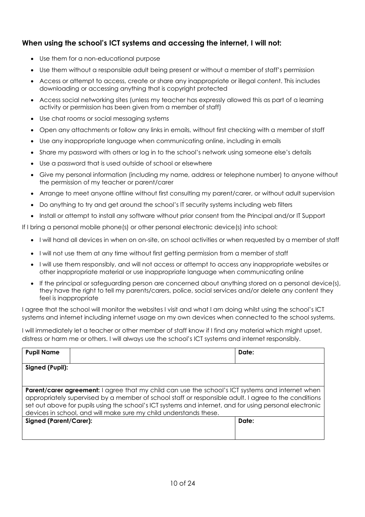# **When using the school's ICT systems and accessing the internet, I will not:**

- Use them for a non-educational purpose
- Use them without a responsible adult being present or without a member of staff's permission
- Access or attempt to access, create or share any inappropriate or illegal content. This includes downloading or accessing anything that is copyright protected
- Access social networking sites (unless my teacher has expressly allowed this as part of a learning activity or permission has been given from a member of staff)
- Use chat rooms or social messaging systems
- Open any attachments or follow any links in emails, without first checking with a member of staff
- Use any inappropriate language when communicating online, including in emails
- Share my password with others or log in to the school's network using someone else's details
- Use a password that is used outside of school or elsewhere
- Give my personal information (including my name, address or telephone number) to anyone without the permission of my teacher or parent/carer
- Arrange to meet anyone offline without first consulting my parent/carer, or without adult supervision
- Do anything to try and get around the school's IT security systems including web filters
- Install or attempt to install any software without prior consent from the Principal and/or IT Support

If I bring a personal mobile phone(s) or other personal electronic device(s) into school:

- I will hand all devices in when on on-site, on school activities or when requested by a member of staff
- I will not use them at any time without first getting permission from a member of staff
- I will use them responsibly, and will not access or attempt to access any inappropriate websites or other inappropriate material or use inappropriate language when communicating online
- If the principal or safeguarding person are concerned about anything stored on a personal device(s), they have the right to tell my parents/carers, police, social services and/or delete any content they feel is inappropriate

I agree that the school will monitor the websites I visit and what I am doing whilst using the school's ICT systems and internet including internet usage on my own devices when connected to the school systems.

I will immediately let a teacher or other member of staff know if I find any material which might upset, distress or harm me or others. I will always use the school's ICT systems and internet responsibly.

| <b>Pupil Name</b>                                                                                                                                                                                                                                                                                                                                                                               |  | Date: |  |  |  |
|-------------------------------------------------------------------------------------------------------------------------------------------------------------------------------------------------------------------------------------------------------------------------------------------------------------------------------------------------------------------------------------------------|--|-------|--|--|--|
| Signed (Pupil):                                                                                                                                                                                                                                                                                                                                                                                 |  |       |  |  |  |
| <b>Parent/carer agreement:</b> I agree that my child can use the school's ICT systems and internet when<br>appropriately supervised by a member of school staff or responsible adult. I agree to the conditions<br>set out above for pupils using the school's ICT systems and internet, and for using personal electronic<br>devices in school, and will make sure my child understands these. |  |       |  |  |  |
| Signed (Parent/Carer):                                                                                                                                                                                                                                                                                                                                                                          |  | Date: |  |  |  |
|                                                                                                                                                                                                                                                                                                                                                                                                 |  |       |  |  |  |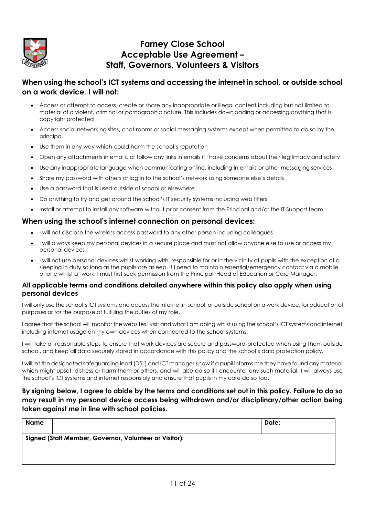

# **Farney Close School Acceptable Use Agreement – Staff, Governors, Volunteers & Visitors**

# **When using the school's ICT systems and accessing the internet in school, or outside school on a work device, I will not:**

- Access or attempt to access, create or share any inappropriate or illegal content including but not limited to material of a violent, criminal or pornographic nature. This includes downloading or accessing anything that is copyright protected
- Access social networking sites, chat rooms or social messaging systems except when permitted to do so by the principal
- Use them in any way which could harm the school's reputation
- Open any attachments in emails, or follow any links in emails if I have concerns about their legitimacy and safety
- Use any inappropriate language when communicating online, including in emails or other messaging services
- Share my password with others or log in to the school's network using someone else's details
- Use a password that is used outside of school or elsewhere
- Do anything to try and get around the school's IT security systems including web filters
- Install or attempt to install any software without prior consent from the Principal and/or the IT Support team

#### **When using the school's internet connection on personal devices:**

- I will not disclose the wireless access password to any other person including colleagues
- I will always keep my personal devices in a secure place and must not allow anyone else to use or access my personal devices
- I will not use personal devices whilst working with, responsible for or in the vicinity of pupils with the exception of a sleeping in duty so long as the pupils are asleep. If I need to maintain essential/emergency contact via a mobile phone whilst at work, I must first seek permission from the Principal, Head of Education or Care Manager.

#### **All applicable terms and conditions detailed anywhere within this policy also apply when using personal devices**

I will only use the school's ICT systems and access the internet in school, or outside school on a work device, for educational purposes or for the purpose of fulfilling the duties of my role.

I agree that the school will monitor the websites I visit and what I am doing whilst using the school's ICT systems and internet including internet usage on my own devices when connected to the school systems.

I will take all reasonable steps to ensure that work devices are secure and password-protected when using them outside school, and keep all data securely stored in accordance with this policy and the school's data protection policy.

I will let the designated safeguarding lead (DSL) and ICT manager know if a pupil informs me they have found any material which might upset, distress or harm them or others, and will also do so if I encounter any such material. I will always use the school's ICT systems and internet responsibly and ensure that pupils in my care do so too.

#### **By signing below, I agree to abide by the terms and conditions set out in this policy. Failure to do so may result in my personal device access being withdrawn and/or disciplinary/other action being taken against me in line with school policies.**

| Name                                                   | Date: |
|--------------------------------------------------------|-------|
| Signed (Staff Member, Governor, Volunteer or Visitor): |       |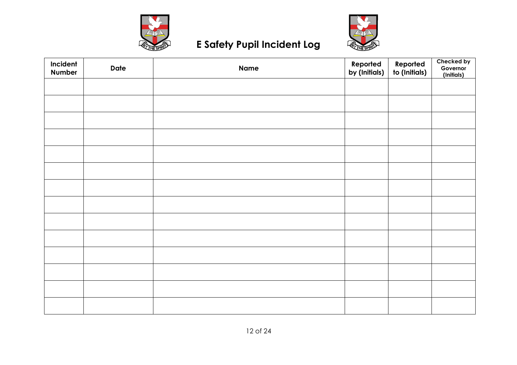



# **E Safety Pupil Incident Log**

| Incident<br>Number | <b>Date</b> | <b>Name</b> | Reported<br>by (Initials) | Reported<br>to (Initials) | Checked by<br>Governor<br>(Initials) |
|--------------------|-------------|-------------|---------------------------|---------------------------|--------------------------------------|
|                    |             |             |                           |                           |                                      |
|                    |             |             |                           |                           |                                      |
|                    |             |             |                           |                           |                                      |
|                    |             |             |                           |                           |                                      |
|                    |             |             |                           |                           |                                      |
|                    |             |             |                           |                           |                                      |
|                    |             |             |                           |                           |                                      |
|                    |             |             |                           |                           |                                      |
|                    |             |             |                           |                           |                                      |
|                    |             |             |                           |                           |                                      |
|                    |             |             |                           |                           |                                      |
|                    |             |             |                           |                           |                                      |
|                    |             |             |                           |                           |                                      |
|                    |             |             |                           |                           |                                      |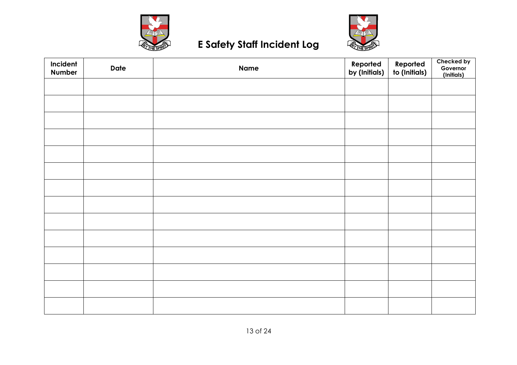



# **E Safety Staff Incident Log**

| Incident<br>Number | <b>Date</b> | <b>Name</b> | Reported<br>by (Initials) | Reported<br>to (Initials) | Checked by<br>Governor<br>(Initials) |
|--------------------|-------------|-------------|---------------------------|---------------------------|--------------------------------------|
|                    |             |             |                           |                           |                                      |
|                    |             |             |                           |                           |                                      |
|                    |             |             |                           |                           |                                      |
|                    |             |             |                           |                           |                                      |
|                    |             |             |                           |                           |                                      |
|                    |             |             |                           |                           |                                      |
|                    |             |             |                           |                           |                                      |
|                    |             |             |                           |                           |                                      |
|                    |             |             |                           |                           |                                      |
|                    |             |             |                           |                           |                                      |
|                    |             |             |                           |                           |                                      |
|                    |             |             |                           |                           |                                      |
|                    |             |             |                           |                           |                                      |
|                    |             |             |                           |                           |                                      |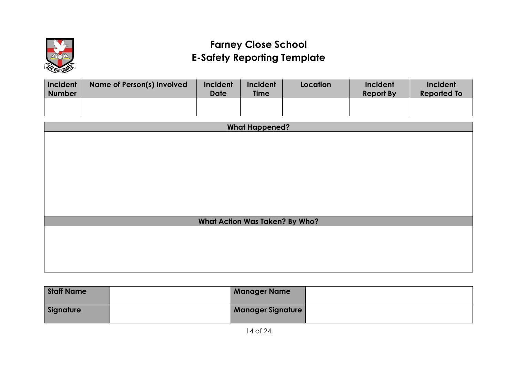

# **Farney Close School E-Safety Reporting Template**

| Incident<br>Number | Name of Person(s) Involved | Incident<br>Date | Incident<br><b>Time</b> | Location | Incident<br><b>Report By</b> | Incident<br><b>Reported To</b> |
|--------------------|----------------------------|------------------|-------------------------|----------|------------------------------|--------------------------------|
|                    |                            |                  |                         |          |                              |                                |

| <b>What Happened?</b>                 |  |  |  |  |
|---------------------------------------|--|--|--|--|
|                                       |  |  |  |  |
|                                       |  |  |  |  |
|                                       |  |  |  |  |
|                                       |  |  |  |  |
|                                       |  |  |  |  |
|                                       |  |  |  |  |
|                                       |  |  |  |  |
|                                       |  |  |  |  |
| <b>What Action Was Taken? By Who?</b> |  |  |  |  |
|                                       |  |  |  |  |
|                                       |  |  |  |  |
|                                       |  |  |  |  |
|                                       |  |  |  |  |
|                                       |  |  |  |  |

| <b>Staff Name</b> | <b>Manager Name</b>      |  |
|-------------------|--------------------------|--|
| Signature         | <b>Manager Signature</b> |  |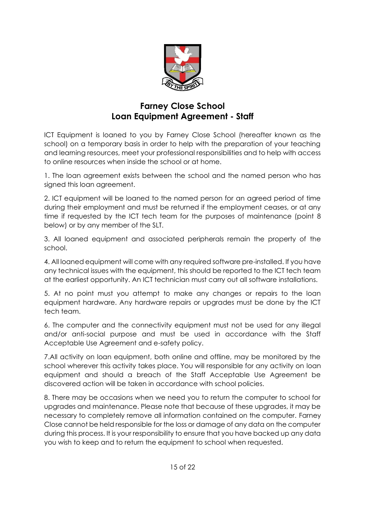

# **Farney Close School Loan Equipment Agreement - Staff**

ICT Equipment is loaned to you by Farney Close School (hereafter known as the school) on a temporary basis in order to help with the preparation of your teaching and learning resources, meet your professional responsibilities and to help with access to online resources when inside the school or at home.

1. The loan agreement exists between the school and the named person who has signed this loan agreement.

2. ICT equipment will be loaned to the named person for an agreed period of time during their employment and must be returned if the employment ceases, or at any time if requested by the ICT tech team for the purposes of maintenance (point 8 below) or by any member of the SLT.

3. All loaned equipment and associated peripherals remain the property of the school.

4. All loaned equipment will come with any required software pre-installed. If you have any technical issues with the equipment, this should be reported to the ICT tech team at the earliest opportunity. An ICT technician must carry out all software installations.

5. At no point must you attempt to make any changes or repairs to the loan equipment hardware. Any hardware repairs or upgrades must be done by the ICT tech team.

6. The computer and the connectivity equipment must not be used for any illegal and/or anti-social purpose and must be used in accordance with the Staff Acceptable Use Agreement and e-safety policy.

7.All activity on loan equipment, both online and offline, may be monitored by the school wherever this activity takes place. You will responsible for any activity on loan equipment and should a breach of the Staff Acceptable Use Agreement be discovered action will be taken in accordance with school policies.

8. There may be occasions when we need you to return the computer to school for upgrades and maintenance. Please note that because of these upgrades, it may be necessary to completely remove all information contained on the computer. Farney Close cannot be held responsible for the loss or damage of any data on the computer during this process. It is your responsibility to ensure that you have backed up any data you wish to keep and to return the equipment to school when requested.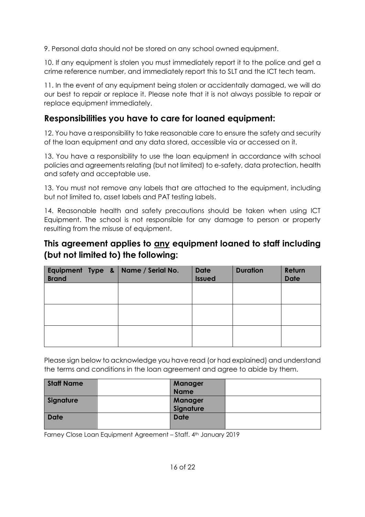9. Personal data should not be stored on any school owned equipment.

10. If any equipment is stolen you must immediately report it to the police and get a crime reference number, and immediately report this to SLT and the ICT tech team.

11. In the event of any equipment being stolen or accidentally damaged, we will do our best to repair or replace it. Please note that it is not always possible to repair or replace equipment immediately.

# **Responsibilities you have to care for loaned equipment:**

12. You have a responsibility to take reasonable care to ensure the safety and security of the loan equipment and any data stored, accessible via or accessed on it.

13. You have a responsibility to use the loan equipment in accordance with school policies and agreements relating (but not limited) to e-safety, data protection, health and safety and acceptable use.

13. You must not remove any labels that are attached to the equipment, including but not limited to, asset labels and PAT testing labels.

14. Reasonable health and safety precautions should be taken when using ICT Equipment. The school is not responsible for any damage to person or property resulting from the misuse of equipment.

# **This agreement applies to any equipment loaned to staff including (but not limited to) the following:**

| <b>Brand</b> |  | Equipment Type & $\vert$ Name / Serial No. | <b>Date</b><br><b>Issued</b> | <b>Duration</b> | Return<br><b>Date</b> |
|--------------|--|--------------------------------------------|------------------------------|-----------------|-----------------------|
|              |  |                                            |                              |                 |                       |
|              |  |                                            |                              |                 |                       |
|              |  |                                            |                              |                 |                       |

Please sign below to acknowledge you have read (or had explained) and understand the terms and conditions in the loan agreement and agree to abide by them.

| <b>Staff Name</b> | <b>Manager</b> |  |
|-------------------|----------------|--|
|                   | <b>Name</b>    |  |
| Signature         | <b>Manager</b> |  |
|                   | Signature      |  |
| <b>Date</b>       | <b>Date</b>    |  |
|                   |                |  |

Farney Close Loan Equipment Agreement - Staff. 4th January 2019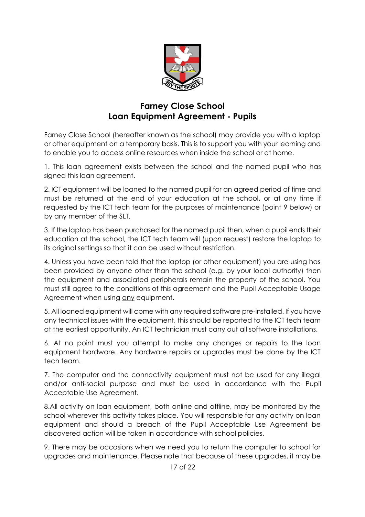

# **Farney Close School Loan Equipment Agreement - Pupils**

Farney Close School (hereafter known as the school) may provide you with a laptop or other equipment on a temporary basis. This is to support you with your learning and to enable you to access online resources when inside the school or at home.

1. This loan agreement exists between the school and the named pupil who has signed this loan agreement.

2. ICT equipment will be loaned to the named pupil for an agreed period of time and must be returned at the end of your education at the school, or at any time if requested by the ICT tech team for the purposes of maintenance (point 9 below) or by any member of the SLT.

3. If the laptop has been purchased for the named pupil then, when a pupil ends their education at the school, the ICT tech team will (upon request) restore the laptop to its original settings so that it can be used without restriction.

4. Unless you have been told that the laptop (or other equipment) you are using has been provided by anyone other than the school (e.g. by your local authority) then the equipment and associated peripherals remain the property of the school. You must still agree to the conditions of this agreement and the Pupil Acceptable Usage Agreement when using any equipment.

5. All loaned equipment will come with any required software pre-installed. If you have any technical issues with the equipment, this should be reported to the ICT tech team at the earliest opportunity. An ICT technician must carry out all software installations.

6. At no point must you attempt to make any changes or repairs to the loan equipment hardware. Any hardware repairs or upgrades must be done by the ICT tech team.

7. The computer and the connectivity equipment must not be used for any illegal and/or anti-social purpose and must be used in accordance with the Pupil Acceptable Use Agreement.

8.All activity on loan equipment, both online and offline, may be monitored by the school wherever this activity takes place. You will responsible for any activity on loan equipment and should a breach of the Pupil Acceptable Use Agreement be discovered action will be taken in accordance with school policies.

9. There may be occasions when we need you to return the computer to school for upgrades and maintenance. Please note that because of these upgrades, it may be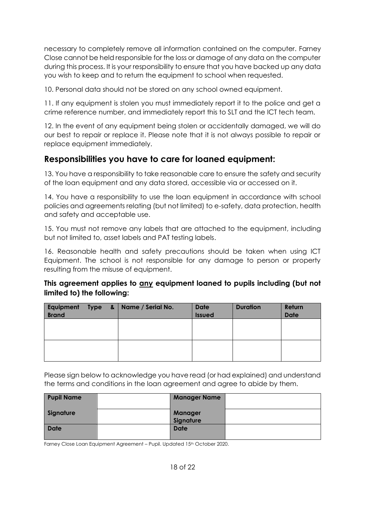necessary to completely remove all information contained on the computer. Farney Close cannot be held responsible for the loss or damage of any data on the computer during this process. It is your responsibility to ensure that you have backed up any data you wish to keep and to return the equipment to school when requested.

10. Personal data should not be stored on any school owned equipment.

11. If any equipment is stolen you must immediately report it to the police and get a crime reference number, and immediately report this to SLT and the ICT tech team.

12. In the event of any equipment being stolen or accidentally damaged, we will do our best to repair or replace it. Please note that it is not always possible to repair or replace equipment immediately.

# **Responsibilities you have to care for loaned equipment:**

13. You have a responsibility to take reasonable care to ensure the safety and security of the loan equipment and any data stored, accessible via or accessed on it.

14. You have a responsibility to use the loan equipment in accordance with school policies and agreements relating (but not limited) to e-safety, data protection, health and safety and acceptable use.

15. You must not remove any labels that are attached to the equipment, including but not limited to, asset labels and PAT testing labels.

16. Reasonable health and safety precautions should be taken when using ICT Equipment. The school is not responsible for any damage to person or property resulting from the misuse of equipment.

# **This agreement applies to any equipment loaned to pupils including (but not limited to) the following:**

| <b>Brand</b> |  | Equipment Type &   Name / Serial No. | <b>Date</b><br><b>Issued</b> | <b>Duration</b> | Return<br><b>Date</b> |
|--------------|--|--------------------------------------|------------------------------|-----------------|-----------------------|
|              |  |                                      |                              |                 |                       |
|              |  |                                      |                              |                 |                       |

Please sign below to acknowledge you have read (or had explained) and understand the terms and conditions in the loan agreement and agree to abide by them.

| <b>Pupil Name</b> | <b>Manager Name</b>         |  |
|-------------------|-----------------------------|--|
| Signature         | <b>Manager</b><br>Signature |  |
| <b>Date</b>       | <b>Date</b>                 |  |

Farney Close Loan Equipment Agreement – Pupil. Updated 15<sup>th</sup> October 2020.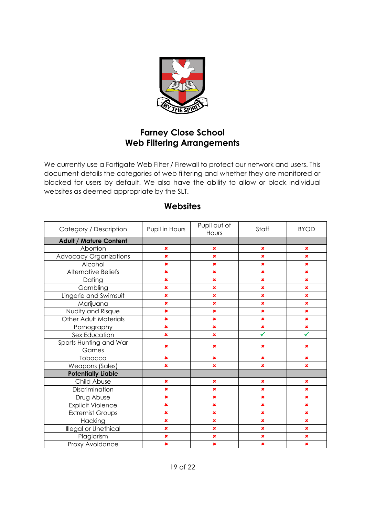

# **Farney Close School Web Filtering Arrangements**

We currently use a Fortigate Web Filter / Firewall to protect our network and users. This document details the categories of web filtering and whether they are monitored or blocked for users by default. We also have the ability to allow or block individual websites as deemed appropriate by the SLT.

| Category / Description        | Pupil in Hours | Pupil out of<br>Hours | Staff          | <b>BYOD</b>    |
|-------------------------------|----------------|-----------------------|----------------|----------------|
| <b>Adult / Mature Content</b> |                |                       |                |                |
| Abortion                      | $\pmb{x}$      | $\pmb{x}$             | $\pmb{\times}$ | $\pmb{x}$      |
| <b>Advocacy Organizations</b> | $\pmb{\times}$ | $\pmb{\times}$        | ×              | $\pmb{x}$      |
| Alcohol                       | $\pmb{\times}$ | $\pmb{\times}$        | $\pmb{\times}$ | $\pmb{\times}$ |
| Alternative Beliefs           | $\pmb{\times}$ | $\pmb{\times}$        | $\pmb{\times}$ | $\pmb{\times}$ |
| Dating                        | $\pmb{\times}$ | $\pmb{x}$             | $\pmb{\times}$ | $\pmb{\times}$ |
| Gambling                      | $\pmb{\times}$ | $\pmb{x}$             | $\pmb{\times}$ | $\pmb{\times}$ |
| Lingerie and Swimsuit         | $\pmb{\times}$ | $\pmb{\times}$        | $\pmb{\times}$ | $\pmb{\times}$ |
| Marijuana                     | $\pmb{\times}$ | $\pmb{\times}$        | $\pmb{\times}$ | $\pmb{\times}$ |
| Nudity and Risque             | $\pmb{\times}$ | ×                     | $\pmb{\times}$ | $\pmb{\times}$ |
| <b>Other Adult Materials</b>  | $\pmb{\times}$ | $\pmb{x}$             | $\pmb{\times}$ | $\pmb{\times}$ |
| Pornography                   | $\pmb{\times}$ | $\pmb{\times}$        | $\pmb{\times}$ | $\pmb{\times}$ |
| Sex Education                 | $\pmb{\times}$ | ×                     | ✔              | ✓              |
| Sports Hunting and War        | $\pmb{\times}$ | ×                     | ×              | ×              |
| Games<br>Tobacco              | $\pmb{x}$      | $\pmb{x}$             | $\pmb{\times}$ | $\pmb{x}$      |
| <b>Weapons (Sales)</b>        | ×              | $\pmb{\times}$        | ×              | $\pmb{x}$      |
| <b>Potentially Liable</b>     |                |                       |                |                |
| Child Abuse                   | $\pmb{x}$      | $\pmb{x}$             | $\pmb{\times}$ | $\pmb{\times}$ |
| Discrimination                | $\pmb{x}$      | $\pmb{x}$             | $\pmb{\times}$ | $\pmb{\times}$ |
| Drug Abuse                    | $\pmb{\times}$ | $\pmb{\times}$        | $\pmb{\times}$ | $\pmb{\times}$ |
| <b>Explicit Violence</b>      | $\pmb{\times}$ | $\pmb{x}$             | $\pmb{\times}$ | $\pmb{x}$      |
| <b>Extremist Groups</b>       | $\pmb{\times}$ | $\pmb{x}$             | $\pmb{\times}$ | $\pmb{x}$      |
| Hacking                       | $\pmb{\times}$ | $\pmb{\times}$        | $\pmb{\times}$ | $\pmb{\times}$ |
| Illegal or Unethical          | $\pmb{\times}$ | $\pmb{x}$             | $\pmb{\times}$ | $\pmb{\times}$ |
| Plagiarism                    | $\pmb{\times}$ | $\pmb{\times}$        | $\pmb{\times}$ | $\pmb{\times}$ |
| Proxy Avoidance               | $\pmb{\times}$ | $\pmb{x}$             | $\pmb{\times}$ | $\pmb{x}$      |

# **Websites**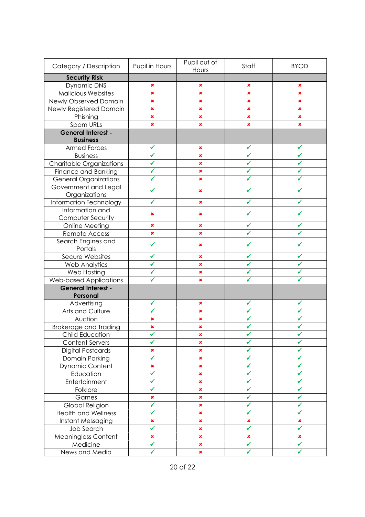| Category / Description                 | Pupil in Hours | Pupil out of<br>Hours | Staff          | <b>BYOD</b>    |
|----------------------------------------|----------------|-----------------------|----------------|----------------|
| <b>Security Risk</b>                   |                |                       |                |                |
| Dynamic DNS                            | ×              | ×                     | ×              | ×              |
| <b>Malicious Websites</b>              | $\pmb{\times}$ | $\pmb{\times}$        | $\pmb{\times}$ | $\pmb{\times}$ |
| Newly Observed Domain                  | ×              | ×                     | ×              | ×              |
| Newly Registered Domain                | ×              | ×                     | $\pmb{\times}$ | $\pmb{\times}$ |
| Phishing                               | $\pmb{\times}$ | $\pmb{\times}$        | $\pmb{\times}$ | $\pmb{\times}$ |
| Spam URLs                              | $\pmb{\times}$ | ×                     | $\pmb{\times}$ | $\pmb{\times}$ |
| <b>General Interest -</b>              |                |                       |                |                |
| <b>Business</b>                        |                |                       |                |                |
| <b>Armed Forces</b>                    | ✔              | ×                     | ✔              | ✔              |
| <b>Business</b>                        | ✔              | ×                     |                |                |
| <b>Charitable Organizations</b>        | ✔              | ×                     |                |                |
| Finance and Banking                    | ✔              | $\pmb{\times}$        |                |                |
| <b>General Organizations</b>           |                | ×                     |                |                |
| Government and Legal                   |                |                       |                |                |
| Organizations                          | ✔              | ×                     | ✓              |                |
| Information Technology                 |                | ×                     |                |                |
| Information and                        |                |                       |                |                |
| Computer Security                      | ×              | ×                     |                |                |
| Online Meeting                         | ×              | ×                     |                |                |
| Remote Access                          | ×              | ×                     |                |                |
| Search Engines and                     |                |                       |                |                |
| Portals                                | ✓              | ×                     |                |                |
| Secure Websites                        | ✔              | ×                     | ✓              |                |
| <b>Web Analytics</b>                   | ✔              | $\pmb{\times}$        | ✓              |                |
| Web Hosting                            |                | $\pmb{\times}$        |                |                |
| <b>Web-based Applications</b>          |                | $\pmb{\times}$        |                |                |
| <b>General Interest -</b>              |                |                       |                |                |
| Personal                               |                |                       |                |                |
| Advertising                            | ✔              | ×                     | ✔              | ✔              |
| Arts and Culture                       |                | $\pmb{\times}$        |                |                |
| Auction                                | ×              | ×                     |                |                |
| <b>Brokerage and Trading</b>           | ×              | ×                     |                |                |
| Child Education                        |                | ×                     | ✔              |                |
| <b>Content Servers</b>                 |                | $\pmb{\times}$        |                |                |
| <b>Digital Postcards</b>               | ×              | ×                     | ✓              | ✔              |
| Domain Parking                         | ✔              | $\pmb{\times}$        | $\checkmark$   | ✓              |
| Dynamic Content                        | ×              | $\pmb{\times}$        | $\checkmark$   | ✓              |
| Education                              | ✓              | $\pmb{\times}$        |                |                |
| Entertainment                          |                | $\pmb{\times}$        |                |                |
| Folklore                               |                | $\pmb{\times}$        |                |                |
| Games                                  | ×              | $\pmb{\times}$        |                |                |
| Global Religion                        |                | ×                     |                |                |
| <b>Health and Wellness</b>             | ✔              | ×                     |                |                |
| Instant Messaging                      | ×              | ×                     | ×              | ×              |
| Job Search                             | ✔              | ×                     | $\checkmark$   | $\checkmark$   |
|                                        | $\pmb{\times}$ | $\pmb{\times}$        | $\pmb{\times}$ | ×              |
| <b>Meaningless Content</b><br>Medicine | ✓              | $\pmb{\times}$        | $\checkmark$   | ✓              |
|                                        | ✓              | $\pmb{\times}$        | $\checkmark$   | $\checkmark$   |
| News and Media                         |                |                       |                |                |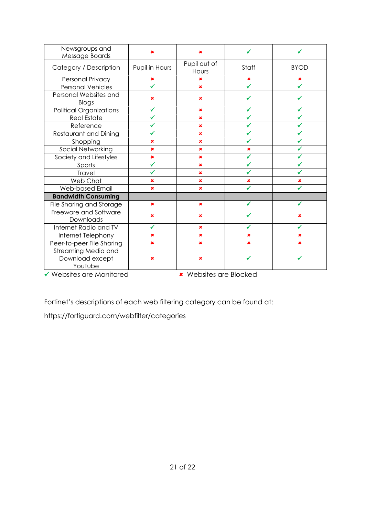| Newsgroups and<br>Message Boards                                                          | ×              | ×                                  |                |                |
|-------------------------------------------------------------------------------------------|----------------|------------------------------------|----------------|----------------|
| Category / Description                                                                    | Pupil in Hours | Pupil out of<br>Hours              | Staff          | <b>BYOD</b>    |
| Personal Privacy                                                                          | $\pmb{x}$      | ×                                  | $\pmb{x}$      | $\pmb{x}$      |
| <b>Personal Vehicles</b>                                                                  | ✔              | $\pmb{\times}$                     | ✓              | ✓              |
| Personal Websites and<br>Blogs                                                            | ×              | ×                                  |                |                |
| <b>Political Organizations</b>                                                            | ✓              | $\mathbf x$                        | ✓              |                |
| <b>Real Estate</b>                                                                        | ✔              | $\pmb{\times}$                     | ✓              |                |
| Reference                                                                                 | ✔              | $\pmb{\times}$                     | ✓              |                |
| Restaurant and Dining                                                                     |                | $\pmb{\times}$                     |                |                |
| Shopping                                                                                  | ×              | $\pmb{x}$                          |                |                |
| Social Networking                                                                         | $\pmb{\times}$ | $\pmb{x}$                          | $\pmb{\times}$ |                |
| Society and Lifestyles                                                                    | ×              | $\pmb{\times}$                     | ✔              |                |
| Sports                                                                                    | ✔              | $\pmb{\times}$                     |                |                |
| Travel                                                                                    | ✓              | $\pmb{\times}$                     | ✓              | ✓              |
| Web Chat                                                                                  | $\pmb{\times}$ | $\pmb{\times}$                     | $\pmb{\times}$ | $\pmb{\times}$ |
| Web-based Email                                                                           | $\pmb{\times}$ | $\pmb{\times}$                     | ✓              | ✔              |
| <b>Bandwidth Consuming</b>                                                                |                |                                    |                |                |
| File Sharing and Storage                                                                  | $\pmb{\times}$ | $\pmb{x}$                          |                |                |
| Freeware and Software<br>Downloads                                                        | ×              | ×                                  |                | ×              |
| Internet Radio and TV                                                                     | ✓              | $\pmb{x}$                          | ✓              | ✓              |
| Internet Telephony                                                                        | $\pmb{x}$      | $\pmb{x}$                          | $\pmb{\times}$ | ×              |
| Peer-to-peer File Sharing                                                                 | $\pmb{x}$      | $\pmb{x}$                          | $\pmb{\times}$ | ×              |
| Streaming Media and<br>Download except<br>YouTube<br>$\triangle$ We have a new Mentennial | $\pmb{x}$      | ×<br>to Malacharta and Disalca al- |                |                |

**▼ Websites are Monitored ★ Websites are Blocked** 

Fortinet's descriptions of each web filtering category can be found at:

https://fortiguard.com/webfilter/categories